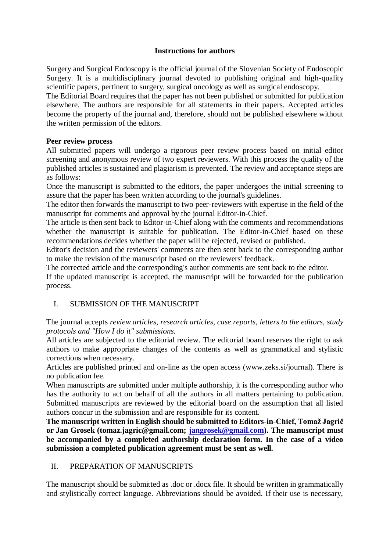#### **Instructions for authors**

Surgery and Surgical Endoscopy is the official journal of the Slovenian Society of Endoscopic Surgery. It is a multidisciplinary journal devoted to publishing original and high-quality scientific papers, pertinent to surgery, surgical oncology as well as surgical endoscopy.

The Editorial Board requires that the paper has not been published or submitted for publication elsewhere. The authors are responsible for all statements in their papers. Accepted articles become the property of the journal and, therefore, should not be published elsewhere without the written permission of the editors.

#### **Peer review process**

All submitted papers will undergo a rigorous peer review process based on initial editor screening and anonymous review of two expert reviewers. With this process the quality of the published articles is sustained and plagiarism is prevented. The review and acceptance steps are as follows:

Once the manuscript is submitted to the editors, the paper undergoes the initial screening to assure that the paper has been written according to the journal's guidelines.

The editor then forwards the manuscript to two peer-reviewers with expertise in the field of the manuscript for comments and approval by the journal Editor-in-Chief.

The article is then sent back to Editor-in-Chief along with the comments and recommendations whether the manuscript is suitable for publication. The Editor-in-Chief based on these recommendations decides whether the paper will be rejected, revised or published.

Editor's decision and the reviewers' comments are then sent back to the corresponding author to make the revision of the manuscript based on the reviewers' feedback.

The corrected article and the corresponding's author comments are sent back to the editor.

If the updated manuscript is accepted, the manuscript will be forwarded for the publication process.

### I. SUBMISSION OF THE MANUSCRIPT

The journal accepts *review articles, research articles, case reports, letters to the editors, study protocols and "How I do it" submissions.*

All articles are subjected to the editorial review. The editorial board reserves the right to ask authors to make appropriate changes of the contents as well as grammatical and stylistic corrections when necessary.

Articles are published printed and on-line as the open access (www.zeks.si/journal). There is no publication fee.

When manuscripts are submitted under multiple authorship, it is the corresponding author who has the authority to act on behalf of all the authors in all matters pertaining to publication. Submitted manuscripts are reviewed by the editorial board on the assumption that all listed authors concur in the submission and are responsible for its content.

**The manuscript written in English should be submitted to Editors-in-Chief, Tomaž Jagrič or Jan Grosek (tomaz.jagric@gmail.com; [jangrosek@gmail.com\)](mailto:jangrosek@gmail.com). The manuscript must be accompanied by a completed authorship declaration form. In the case of a video submission a completed publication agreement must be sent as well.**

# II. PREPARATION OF MANUSCRIPTS

The manuscript should be submitted as .doc or .docx file. It should be written in grammatically and stylistically correct language. Abbreviations should be avoided. If their use is necessary,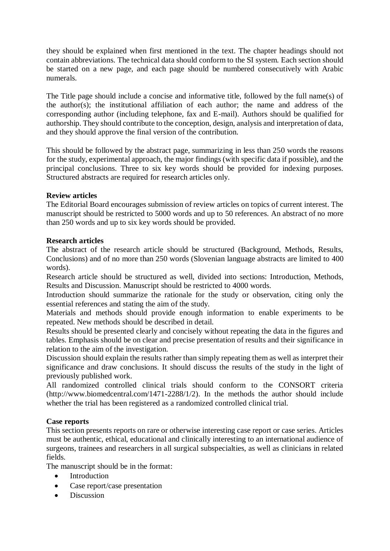they should be explained when first mentioned in the text. The chapter headings should not contain abbreviations. The technical data should conform to the SI system. Each section should be started on a new page, and each page should be numbered consecutively with Arabic numerals.

The Title page should include a concise and informative title, followed by the full name(s) of the author(s); the institutional affiliation of each author; the name and address of the corresponding author (including telephone, fax and E-mail). Authors should be qualified for authorship. They should contribute to the conception, design, analysis and interpretation of data, and they should approve the final version of the contribution.

This should be followed by the abstract page, summarizing in less than 250 words the reasons for the study, experimental approach, the major findings (with specific data if possible), and the principal conclusions. Three to six key words should be provided for indexing purposes. Structured abstracts are required for research articles only.

#### **Review articles**

The Editorial Board encourages submission of review articles on topics of current interest. The manuscript should be restricted to 5000 words and up to 50 references. An abstract of no more than 250 words and up to six key words should be provided.

#### **Research articles**

The abstract of the research article should be structured (Background, Methods, Results, Conclusions) and of no more than 250 words (Slovenian language abstracts are limited to 400 words).

Research article should be structured as well, divided into sections: Introduction, Methods, Results and Discussion. Manuscript should be restricted to 4000 words.

Introduction should summarize the rationale for the study or observation, citing only the essential references and stating the aim of the study.

Materials and methods should provide enough information to enable experiments to be repeated. New methods should be described in detail.

Results should be presented clearly and concisely without repeating the data in the figures and tables. Emphasis should be on clear and precise presentation of results and their significance in relation to the aim of the investigation.

Discussion should explain the results rather than simply repeating them as well as interpret their significance and draw conclusions. It should discuss the results of the study in the light of previously published work.

All randomized controlled clinical trials should conform to the CONSORT criteria (http://www.biomedcentral.com/1471-2288/1/2). In the methods the author should include whether the trial has been registered as a randomized controlled clinical trial.

#### **Case reports**

This section presents reports on rare or otherwise interesting case report or case series. Articles must be authentic, ethical, educational and clinically interesting to an international audience of surgeons, trainees and researchers in all surgical subspecialties, as well as clinicians in related fields.

The manuscript should be in the format:

- Introduction
- Case report/case presentation
- Discussion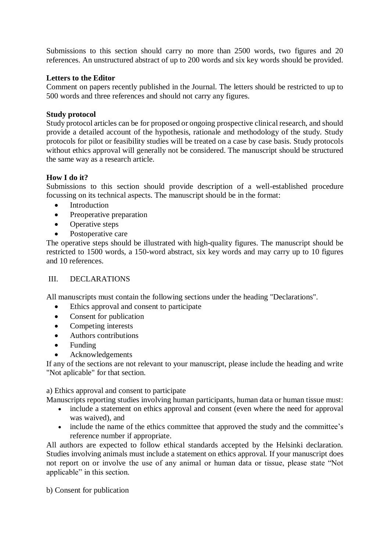Submissions to this section should carry no more than 2500 words, two figures and 20 references. An unstructured abstract of up to 200 words and six key words should be provided.

### **Letters to the Editor**

Comment on papers recently published in the Journal. The letters should be restricted to up to 500 words and three references and should not carry any figures.

#### **Study protocol**

Study protocol articles can be for proposed or ongoing prospective clinical research, and should provide a detailed account of the hypothesis, rationale and methodology of the study. Study protocols for pilot or feasibility studies will be treated on a case by case basis. Study protocols without ethics approval will generally not be considered. The manuscript should be structured the same way as a research article.

#### **How I do it?**

Submissions to this section should provide description of a well-established procedure focussing on its technical aspects. The manuscript should be in the format:

- Introduction
- Preoperative preparation
- Operative steps
- Postoperative care

The operative steps should be illustrated with high-quality figures. The manuscript should be restricted to 1500 words, a 150-word abstract, six key words and may carry up to 10 figures and 10 references.

#### III. DECLARATIONS

All manuscripts must contain the following sections under the heading "Declarations".

- Ethics approval and consent to participate
- Consent for publication
- Competing interests
- Authors contributions
- Funding
- Acknowledgements

If any of the sections are not relevant to your manuscript, please include the heading and write "Not aplicable" for that section.

a) Ethics approval and consent to participate

- Manuscripts reporting studies involving human participants, human data or human tissue must:
	- include a statement on ethics approval and consent (even where the need for approval was waived), and
	- include the name of the ethics committee that approved the study and the committee's reference number if appropriate.

All authors are expected to follow ethical standards accepted by the Helsinki declaration. Studies involving animals must include a statement on ethics approval. If your manuscript does not report on or involve the use of any animal or human data or tissue, please state "Not applicable" in this section.

b) Consent for publication